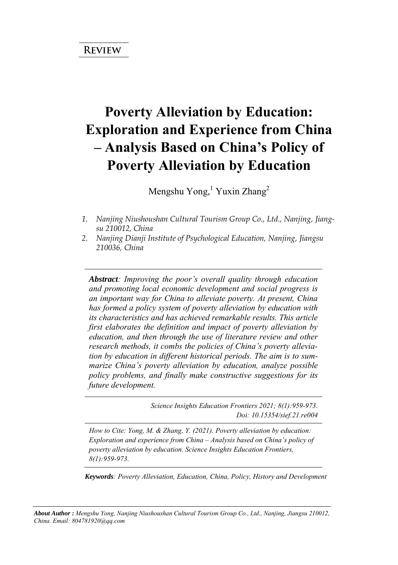# **Poverty Alleviation by Education: Exploration and Experience from China – Analysis Based on China's Policy of Poverty Alleviation by Education**

Mengshu Yong,<sup>1</sup> Yuxin Zhang<sup>2</sup>

- *1. Nanjing Niushoushan Cultural Tourism Group Co., Ltd., Nanjing, Jiangsu 210012, China*
- *2. Nanjing Dianji Institute of Psychological Education, Nanjing, Jiangsu 210036, China*

*Abstract: Improving the poor's overall quality through education and promoting local economic development and social progress is an important way for China to alleviate poverty. At present, China has formed a policy system of poverty alleviation by education with its characteristics and has achieved remarkable results. This article first elaborates the definition and impact of poverty alleviation by education, and then through the use of literature review and other research methods, it combs the policies of China's poverty alleviation by education in different historical periods. The aim is to summarize China's poverty alleviation by education, analyze possible policy problems, and finally make constructive suggestions for its future development.*

> *Science Insights Education Frontiers 2021; 8(1):959-973. Doi: 10.15354/sief.21.re004*

*How to Cite: Yong, M. & Zhang, Y. (2021). Poverty alleviation by education: Exploration and experience from China – Analysis based on China's policy of poverty alleviation by education. Science Insights Education Frontiers, 8(1):959-973.*

*Keywords: Poverty Alleviation, Education, China, Policy, History and Development*

*About Author : Mengshu Yong, Nanjing Niushoushan Cultural Tourism Group Co., Ltd., Nanjing, Jiangsu 210012, China. Email: 804781920@qq.com*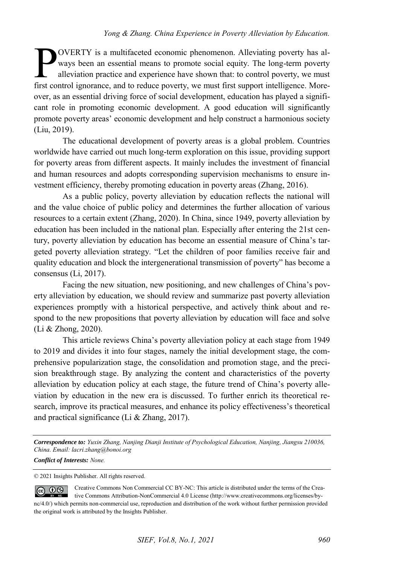OVERTY is a multifaceted economic phenomenon. Alleviating poverty has always been an essential means to promote social equity. The long-term poverty alleviation practice and experience have shown that: to control poverty, we must First control ignorance, and to reduce poverty, we must first support intelligence. Moreover, we must first control ignorance, and to reduce poverty, we must first support intelligence. Moreover, as an essential driving force of social development, education has played a significant role in promoting economic development. A good education will significantly promote poverty areas' economic development and help construct a harmonious society (Liu, 2019).

The educational development of poverty areas is a global problem. Countries worldwide have carried out much long-term exploration on this issue, providing support for poverty areas from different aspects. It mainly includes the investment of financial and human resources and adopts corresponding supervision mechanisms to ensure investment efficiency, thereby promoting education in poverty areas (Zhang, 2016).

As a public policy, poverty alleviation by education reflects the national will and the value choice of public policy and determines the further allocation of various resources to a certain extent (Zhang, 2020). In China, since 1949, poverty alleviation by education has been included in the national plan. Especially after entering the 21st century, poverty alleviation by education has become an essential measure of China's targeted poverty alleviation strategy. "Let the children of poor families receive fair and quality education and block the intergenerational transmission of poverty" has become a consensus (Li, 2017).

Facing the new situation, new positioning, and new challenges of China's poverty alleviation by education, we should review and summarize past poverty alleviation experiences promptly with a historical perspective, and actively think about and respond to the new propositions that poverty alleviation by education will face and solve (Li & Zhong, 2020).

This article reviews China's poverty alleviation policy at each stage from 1949 to 2019 and divides it into four stages, namely the initial development stage, the comprehensive popularization stage, the consolidation and promotion stage, and the precision breakthrough stage. By analyzing the content and characteristics of the poverty alleviation by education policy at each stage, the future trend of China's poverty alleviation by education in the new era is discussed. To further enrich its theoretical research, improve its practical measures, and enhance its policy effectiveness's theoretical and practical significance (Li & Zhang, 2017).

*Correspondence to: Yuxin Zhang, Nanjing Dianji Institute of Psychological Education, Nanjing, Jiangsu 210036, China. Email: lacri.zhang@bonoi.org* 

*Conflict of Interests: None.* 

© 2021 Insights Publisher. All rights reserved.

Creative Commons Non Commercial CC BY-NC: This article is distributed under the terms of the Crea- $\odot$   $\odot$ tive Commons Attribution-NonCommercial 4.0 License (http://www.creativecommons.org/licenses/bync/4.0/) which permits non-commercial use, reproduction and distribution of the work without further permission provided the original work is attributed by the Insights Publisher.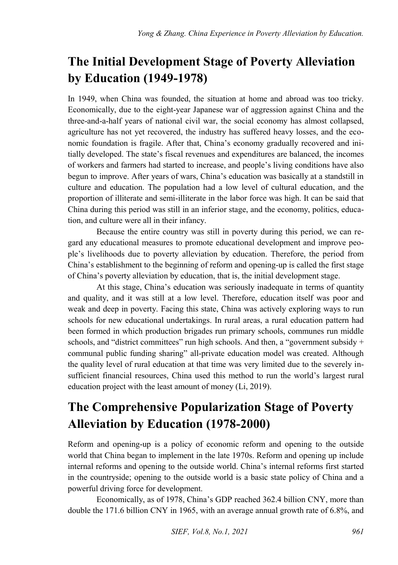#### **The Initial Development Stage of Poverty Alleviation by Education (1949-1978)**

In 1949, when China was founded, the situation at home and abroad was too tricky. Economically, due to the eight-year Japanese war of aggression against China and the three-and-a-half years of national civil war, the social economy has almost collapsed, agriculture has not yet recovered, the industry has suffered heavy losses, and the economic foundation is fragile. After that, China's economy gradually recovered and initially developed. The state's fiscal revenues and expenditures are balanced, the incomes of workers and farmers had started to increase, and people's living conditions have also begun to improve. After years of wars, China's education was basically at a standstill in culture and education. The population had a low level of cultural education, and the proportion of illiterate and semi-illiterate in the labor force was high. It can be said that China during this period was still in an inferior stage, and the economy, politics, education, and culture were all in their infancy.

Because the entire country was still in poverty during this period, we can regard any educational measures to promote educational development and improve people's livelihoods due to poverty alleviation by education. Therefore, the period from China's establishment to the beginning of reform and opening-up is called the first stage of China's poverty alleviation by education, that is, the initial development stage.

At this stage, China's education was seriously inadequate in terms of quantity and quality, and it was still at a low level. Therefore, education itself was poor and weak and deep in poverty. Facing this state, China was actively exploring ways to run schools for new educational undertakings. In rural areas, a rural education pattern had been formed in which production brigades run primary schools, communes run middle schools, and "district committees" run high schools. And then, a "government subsidy  $+$ communal public funding sharing" all-private education model was created. Although the quality level of rural education at that time was very limited due to the severely insufficient financial resources, China used this method to run the world's largest rural education project with the least amount of money (Li, 2019).

### **The Comprehensive Popularization Stage of Poverty Alleviation by Education (1978-2000)**

Reform and opening-up is a policy of economic reform and opening to the outside world that China began to implement in the late 1970s. Reform and opening up include internal reforms and opening to the outside world. China's internal reforms first started in the countryside; opening to the outside world is a basic state policy of China and a powerful driving force for development.

Economically, as of 1978, China's GDP reached 362.4 billion CNY, more than double the 171.6 billion CNY in 1965, with an average annual growth rate of 6.8%, and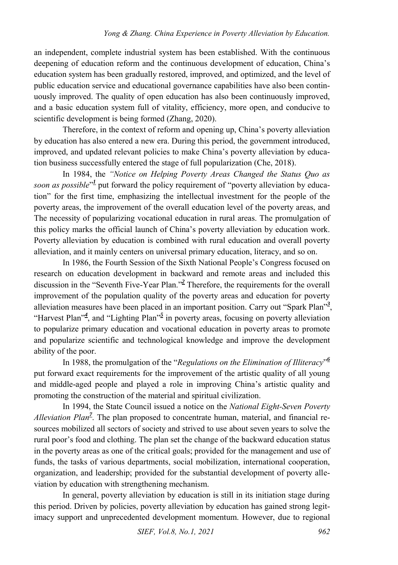an independent, complete industrial system has been established. With the continuous deepening of education reform and the continuous development of education, China's education system has been gradually restored, improved, and optimized, and the level of public education service and educational governance capabilities have also been continuously improved. The quality of open education has also been continuously improved, and a basic education system full of vitality, efficiency, more open, and conducive to scientific development is being formed (Zhang, 2020).

Therefore, in the context of reform and opening up, China's poverty alleviation by education has also entered a new era. During this period, the government introduced, improved, and updated relevant policies to make China's poverty alleviation by education business successfully entered the stage of full popularization (Che, 2018).

In 1984, the *"Notice on Helping Poverty Areas Changed the Status Quo as*  soon as possible<sup>["](#page-11-0)1</sup> put forward the policy requirement of "poverty alleviation by education" for the first time, emphasizing the intellectual investment for the people of the poverty areas, the improvement of the overall education level of the poverty areas, and The necessity of popularizing vocational education in rural areas. The promulgation of this policy marks the official launch of China's poverty alleviation by education work. Poverty alleviation by education is combined with rural education and overall poverty alleviation, and it mainly centers on universal primary education, literacy, and so on.

In 1986, the Fourth Session of the Sixth National People's Congress focused on research on education development in backward and remote areas and included this discussion in the "Seventh Five-Year Plan.["](#page-11-1)*<sup>2</sup>* Therefore, the requirements for the overall improvement of the population quality of the poverty areas and education for poverty alleviation measures have been placed in an important position. Carry out "Spark Plan["](#page-11-2)*<sup>3</sup>* , ["](#page-11-4)Harvest Plan<sup>"4</sup>, and "Lighting Plan<sup>"5</sup> in poverty areas, focusing on poverty alleviation to popularize primary education and vocational education in poverty areas to promote and popularize scientific and technological knowledge and improve the development ability of the poor.

In 1988, the promulgation of the "*Regulations on the Elimination of Illiteracy*["](#page-11-5) *6* put forward exact requirements for the improvement of the artistic quality of all young and middle-aged people and played a role in improving China's artistic quality and promoting the construction of the material and spiritual civilization.

In 1994, the State Council issued a notice on the *National Eight-Seven Poverty Alleviation Plan<sup>7</sup>* [.](#page-11-6) The plan proposed to concentrate human, material, and financial resources mobilized all sectors of society and strived to use about seven years to solve the rural poor's food and clothing. The plan set the change of the backward education status in the poverty areas as one of the critical goals; provided for the management and use of funds, the tasks of various departments, social mobilization, international cooperation, organization, and leadership; provided for the substantial development of poverty alleviation by education with strengthening mechanism.

In general, poverty alleviation by education is still in its initiation stage during this period. Driven by policies, poverty alleviation by education has gained strong legitimacy support and unprecedented development momentum. However, due to regional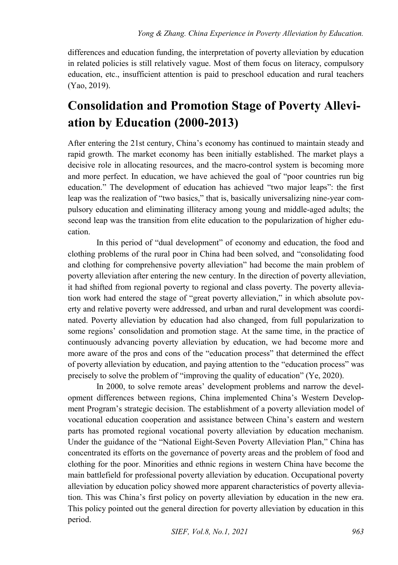differences and education funding, the interpretation of poverty alleviation by education in related policies is still relatively vague. Most of them focus on literacy, compulsory education, etc., insufficient attention is paid to preschool education and rural teachers (Yao, 2019).

### **Consolidation and Promotion Stage of Poverty Alleviation by Education (2000-2013)**

After entering the 21st century, China's economy has continued to maintain steady and rapid growth. The market economy has been initially established. The market plays a decisive role in allocating resources, and the macro-control system is becoming more and more perfect. In education, we have achieved the goal of "poor countries run big education." The development of education has achieved "two major leaps": the first leap was the realization of "two basics," that is, basically universalizing nine-year compulsory education and eliminating illiteracy among young and middle-aged adults; the second leap was the transition from elite education to the popularization of higher education.

In this period of "dual development" of economy and education, the food and clothing problems of the rural poor in China had been solved, and "consolidating food and clothing for comprehensive poverty alleviation" had become the main problem of poverty alleviation after entering the new century. In the direction of poverty alleviation, it had shifted from regional poverty to regional and class poverty. The poverty alleviation work had entered the stage of "great poverty alleviation," in which absolute poverty and relative poverty were addressed, and urban and rural development was coordinated. Poverty alleviation by education had also changed, from full popularization to some regions' consolidation and promotion stage. At the same time, in the practice of continuously advancing poverty alleviation by education, we had become more and more aware of the pros and cons of the "education process" that determined the effect of poverty alleviation by education, and paying attention to the "education process" was precisely to solve the problem of "improving the quality of education" (Ye, 2020).

In 2000, to solve remote areas' development problems and narrow the development differences between regions, China implemented China's Western Development Program's strategic decision. The establishment of a poverty alleviation model of vocational education cooperation and assistance between China's eastern and western parts has promoted regional vocational poverty alleviation by education mechanism. Under the guidance of the "National Eight-Seven Poverty Alleviation Plan," China has concentrated its efforts on the governance of poverty areas and the problem of food and clothing for the poor. Minorities and ethnic regions in western China have become the main battlefield for professional poverty alleviation by education. Occupational poverty alleviation by education policy showed more apparent characteristics of poverty alleviation. This was China's first policy on poverty alleviation by education in the new era. This policy pointed out the general direction for poverty alleviation by education in this period.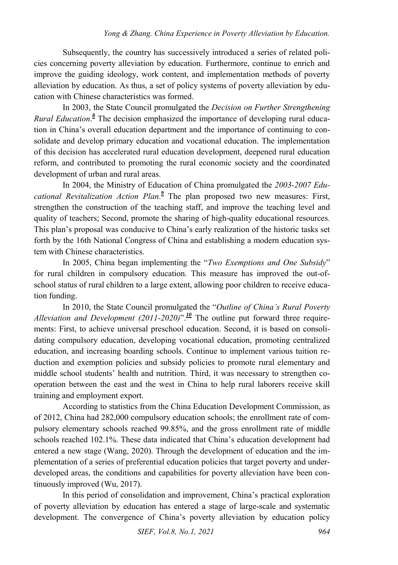Subsequently, the country has successively introduced a series of related policies concerning poverty alleviation by education. Furthermore, continue to enrich and improve the guiding ideology, work content, and implementation methods of poverty alleviation by education. As thus, a set of policy systems of poverty alleviation by education with Chinese characteristics was formed.

In 2003, the State Council promulgated the *Decision on Further Strengthening*  Rural Education[.](#page-11-7)<sup>8</sup> The decision emphasized the importance of developing rural education in China's overall education department and the importance of continuing to consolidate and develop primary education and vocational education. The implementation of this decision has accelerated rural education development, deepened rural education reform, and contributed to promoting the rural economic society and the coordinated development of urban and rural areas.

In 2004, the Ministry of Education of China promulgated the *2003-2007 Edu-*cationalRevitalization Action Plan.<sup>2</sup> The plan proposed two new measures: First, strengthen the construction of the teaching staff, and improve the teaching level and quality of teachers; Second, promote the sharing of high-quality educational resources. This plan's proposal was conducive to China's early realization of the historic tasks set forth by the 16th National Congress of China and establishing a modern education system with Chinese characteristics.

In 2005, China began implementing the "*Two Exemptions and One Subsidy*" for rural children in compulsory education. This measure has improved the out-ofschool status of rural children to a large extent, allowing poor children to receive education funding.

In 2010, the State Council promulgated the "*Outline of China's Rural Poverty Alleviation and Development (2011-2020)*".<sup>[10](#page-11-9)</sup> The outline put forward three requirements: First, to achieve universal preschool education. Second, it is based on consolidating compulsory education, developing vocational education, promoting centralized education, and increasing boarding schools. Continue to implement various tuition reduction and exemption policies and subsidy policies to promote rural elementary and middle school students' health and nutrition. Third, it was necessary to strengthen cooperation between the east and the west in China to help rural laborers receive skill training and employment export.

According to statistics from the China Education Development Commission, as of 2012, China had 282,000 compulsory education schools; the enrollment rate of compulsory elementary schools reached 99.85%, and the gross enrollment rate of middle schools reached 102.1%. These data indicated that China's education development had entered a new stage (Wang, 2020). Through the development of education and the implementation of a series of preferential education policies that target poverty and underdeveloped areas, the conditions and capabilities for poverty alleviation have been continuously improved (Wu, 2017).

In this period of consolidation and improvement, China's practical exploration of poverty alleviation by education has entered a stage of large-scale and systematic development. The convergence of China's poverty alleviation by education policy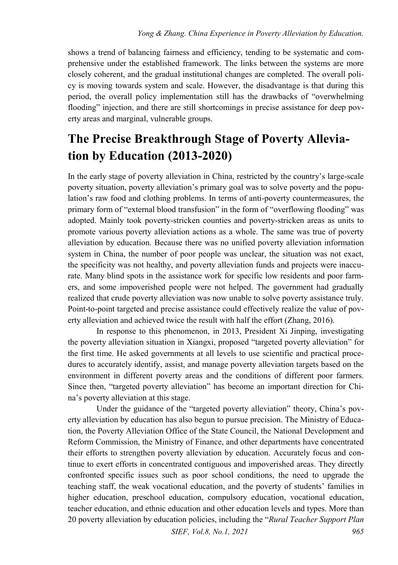shows a trend of balancing fairness and efficiency, tending to be systematic and comprehensive under the established framework. The links between the systems are more closely coherent, and the gradual institutional changes are completed. The overall policy is moving towards system and scale. However, the disadvantage is that during this period, the overall policy implementation still has the drawbacks of "overwhelming flooding" injection, and there are still shortcomings in precise assistance for deep poverty areas and marginal, vulnerable groups.

## **The Precise Breakthrough Stage of Poverty Alleviation by Education (2013-2020)**

In the early stage of poverty alleviation in China, restricted by the country's large-scale poverty situation, poverty alleviation's primary goal was to solve poverty and the population's raw food and clothing problems. In terms of anti-poverty countermeasures, the primary form of "external blood transfusion" in the form of "overflowing flooding" was adopted. Mainly took poverty-stricken counties and poverty-stricken areas as units to promote various poverty alleviation actions as a whole. The same was true of poverty alleviation by education. Because there was no unified poverty alleviation information system in China, the number of poor people was unclear, the situation was not exact, the specificity was not healthy, and poverty alleviation funds and projects were inaccurate. Many blind spots in the assistance work for specific low residents and poor farmers, and some impoverished people were not helped. The government had gradually realized that crude poverty alleviation was now unable to solve poverty assistance truly. Point-to-point targeted and precise assistance could effectively realize the value of poverty alleviation and achieved twice the result with half the effort (Zhang, 2016).

In response to this phenomenon, in 2013, President Xi Jinping, investigating the poverty alleviation situation in Xiangxi, proposed "targeted poverty alleviation" for the first time. He asked governments at all levels to use scientific and practical procedures to accurately identify, assist, and manage poverty alleviation targets based on the environment in different poverty areas and the conditions of different poor farmers. Since then, "targeted poverty alleviation" has become an important direction for China's poverty alleviation at this stage.

Under the guidance of the "targeted poverty alleviation" theory, China's poverty alleviation by education has also begun to pursue precision. The Ministry of Education, the Poverty Alleviation Office of the State Council, the National Development and Reform Commission, the Ministry of Finance, and other departments have concentrated their efforts to strengthen poverty alleviation by education. Accurately focus and continue to exert efforts in concentrated contiguous and impoverished areas. They directly confronted specific issues such as poor school conditions, the need to upgrade the teaching staff, the weak vocational education, and the poverty of students' families in higher education, preschool education, compulsory education, vocational education, teacher education, and ethnic education and other education levels and types. More than 20 poverty alleviation by education policies, including the "*Rural Teacher Support Plan*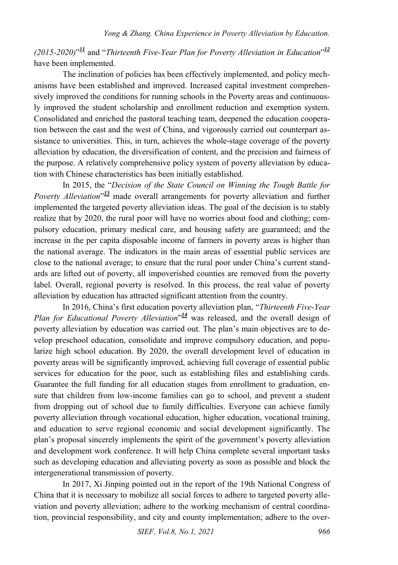*(2015-2020)*" *[11](#page-11-10)* and "*Thirteenth Five-Year Plan for Poverty Alleviation in Education*" *[12](#page-11-11)* have been implemented.

The inclination of policies has been effectively implemented, and policy mechanisms have been established and improved. Increased capital investment comprehensively improved the conditions for running schools in the Poverty areas and continuously improved the student scholarship and enrollment reduction and exemption system. Consolidated and enriched the pastoral teaching team, deepened the education cooperation between the east and the west of China, and vigorously carried out counterpart assistance to universities. This, in turn, achieves the whole-stage coverage of the poverty alleviation by education, the diversification of content, and the precision and fairness of the purpose. A relatively comprehensive policy system of poverty alleviation by education with Chinese characteristics has been initially established.

In 2015, the "*Decision of the State Council on Winning the Tough Battle for*  Poverty Alleviation<sup>"[13](#page-12-0)</sup> made overall arrangements for poverty alleviation and further implemented the targeted poverty alleviation ideas. The goal of the decision is to stably realize that by 2020, the rural poor will have no worries about food and clothing; compulsory education, primary medical care, and housing safety are guaranteed; and the increase in the per capita disposable income of farmers in poverty areas is higher than the national average. The indicators in the main areas of essential public services are close to the national average; to ensure that the rural poor under China's current standards are lifted out of poverty, all impoverished counties are removed from the poverty label. Overall, regional poverty is resolved. In this process, the real value of poverty alleviation by education has attracted significant attention from the country.

In 2016, China's first education poverty alleviation plan, "*Thirteenth Five-Year*  Plan for Educational Poverty Alleviation<sup>" [14](#page-12-1)</sup> was released, and the overall design of poverty alleviation by education was carried out. The plan's main objectives are to develop preschool education, consolidate and improve compulsory education, and popularize high school education. By 2020, the overall development level of education in poverty areas will be significantly improved, achieving full coverage of essential public services for education for the poor, such as establishing files and establishing cards. Guarantee the full funding for all education stages from enrollment to graduation, ensure that children from low-income families can go to school, and prevent a student from dropping out of school due to family difficulties. Everyone can achieve family poverty alleviation through vocational education, higher education, vocational training, and education to serve regional economic and social development significantly. The plan's proposal sincerely implements the spirit of the government's poverty alleviation and development work conference. It will help China complete several important tasks such as developing education and alleviating poverty as soon as possible and block the intergenerational transmission of poverty.

In 2017, Xi Jinping pointed out in the report of the 19th National Congress of China that it is necessary to mobilize all social forces to adhere to targeted poverty alleviation and poverty alleviation; adhere to the working mechanism of central coordination, provincial responsibility, and city and county implementation; adhere to the over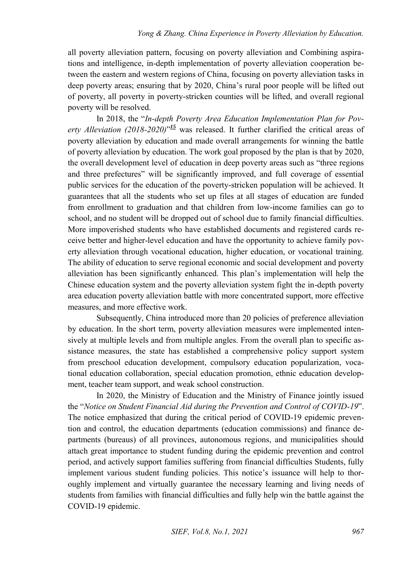all poverty alleviation pattern, focusing on poverty alleviation and Combining aspirations and intelligence, in-depth implementation of poverty alleviation cooperation between the eastern and western regions of China, focusing on poverty alleviation tasks in deep poverty areas; ensuring that by 2020, China's rural poor people will be lifted out of poverty, all poverty in poverty-stricken counties will be lifted, and overall regional poverty will be resolved.

In 2018, the "*In-depth Poverty Area Education Implementation Plan for Poverty Alleviation (2018-2020)*" *[15](#page-12-2)* was released. It further clarified the critical areas of poverty alleviation by education and made overall arrangements for winning the battle of poverty alleviation by education. The work goal proposed by the plan is that by 2020, the overall development level of education in deep poverty areas such as "three regions and three prefectures" will be significantly improved, and full coverage of essential public services for the education of the poverty-stricken population will be achieved. It guarantees that all the students who set up files at all stages of education are funded from enrollment to graduation and that children from low-income families can go to school, and no student will be dropped out of school due to family financial difficulties. More impoverished students who have established documents and registered cards receive better and higher-level education and have the opportunity to achieve family poverty alleviation through vocational education, higher education, or vocational training. The ability of education to serve regional economic and social development and poverty alleviation has been significantly enhanced. This plan's implementation will help the Chinese education system and the poverty alleviation system fight the in-depth poverty area education poverty alleviation battle with more concentrated support, more effective measures, and more effective work.

Subsequently, China introduced more than 20 policies of preference alleviation by education. In the short term, poverty alleviation measures were implemented intensively at multiple levels and from multiple angles. From the overall plan to specific assistance measures, the state has established a comprehensive policy support system from preschool education development, compulsory education popularization, vocational education collaboration, special education promotion, ethnic education development, teacher team support, and weak school construction.

In 2020, the Ministry of Education and the Ministry of Finance jointly issued the "*Notice on Student Financial Aid during the Prevention and Control of COVID-19*". The notice emphasized that during the critical period of COVID-19 epidemic prevention and control, the education departments (education commissions) and finance departments (bureaus) of all provinces, autonomous regions, and municipalities should attach great importance to student funding during the epidemic prevention and control period, and actively support families suffering from financial difficulties Students, fully implement various student funding policies. This notice's issuance will help to thoroughly implement and virtually guarantee the necessary learning and living needs of students from families with financial difficulties and fully help win the battle against the COVID-19 epidemic.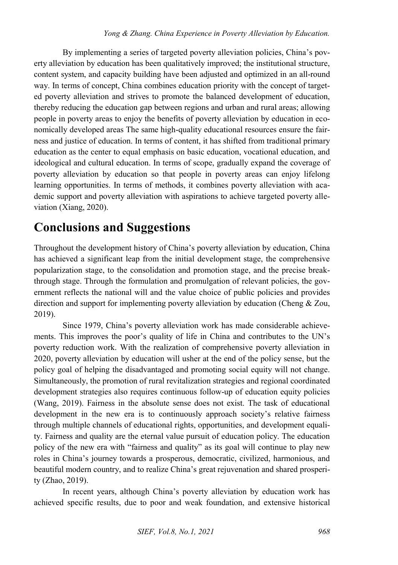By implementing a series of targeted poverty alleviation policies, China's poverty alleviation by education has been qualitatively improved; the institutional structure, content system, and capacity building have been adjusted and optimized in an all-round way. In terms of concept, China combines education priority with the concept of targeted poverty alleviation and strives to promote the balanced development of education, thereby reducing the education gap between regions and urban and rural areas; allowing people in poverty areas to enjoy the benefits of poverty alleviation by education in economically developed areas The same high-quality educational resources ensure the fairness and justice of education. In terms of content, it has shifted from traditional primary education as the center to equal emphasis on basic education, vocational education, and ideological and cultural education. In terms of scope, gradually expand the coverage of poverty alleviation by education so that people in poverty areas can enjoy lifelong learning opportunities. In terms of methods, it combines poverty alleviation with academic support and poverty alleviation with aspirations to achieve targeted poverty alleviation (Xiang, 2020).

#### **Conclusions and Suggestions**

Throughout the development history of China's poverty alleviation by education, China has achieved a significant leap from the initial development stage, the comprehensive popularization stage, to the consolidation and promotion stage, and the precise breakthrough stage. Through the formulation and promulgation of relevant policies, the government reflects the national will and the value choice of public policies and provides direction and support for implementing poverty alleviation by education (Cheng & Zou, 2019).

Since 1979, China's poverty alleviation work has made considerable achievements. This improves the poor's quality of life in China and contributes to the UN's poverty reduction work. With the realization of comprehensive poverty alleviation in 2020, poverty alleviation by education will usher at the end of the policy sense, but the policy goal of helping the disadvantaged and promoting social equity will not change. Simultaneously, the promotion of rural revitalization strategies and regional coordinated development strategies also requires continuous follow-up of education equity policies (Wang, 2019). Fairness in the absolute sense does not exist. The task of educational development in the new era is to continuously approach society's relative fairness through multiple channels of educational rights, opportunities, and development equality. Fairness and quality are the eternal value pursuit of education policy. The education policy of the new era with "fairness and quality" as its goal will continue to play new roles in China's journey towards a prosperous, democratic, civilized, harmonious, and beautiful modern country, and to realize China's great rejuvenation and shared prosperity (Zhao, 2019).

In recent years, although China's poverty alleviation by education work has achieved specific results, due to poor and weak foundation, and extensive historical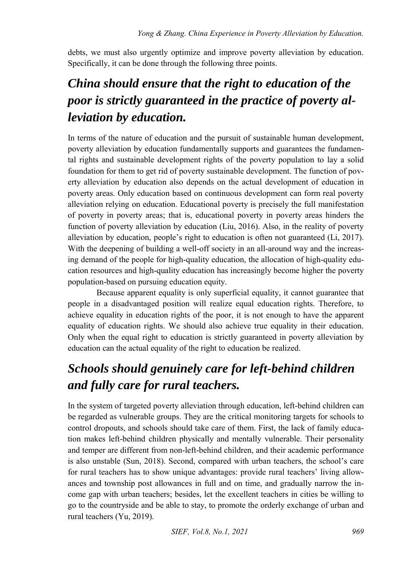debts, we must also urgently optimize and improve poverty alleviation by education. Specifically, it can be done through the following three points.

## *China should ensure that the right to education of the poor is strictly guaranteed in the practice of poverty alleviation by education.*

In terms of the nature of education and the pursuit of sustainable human development, poverty alleviation by education fundamentally supports and guarantees the fundamental rights and sustainable development rights of the poverty population to lay a solid foundation for them to get rid of poverty sustainable development. The function of poverty alleviation by education also depends on the actual development of education in poverty areas. Only education based on continuous development can form real poverty alleviation relying on education. Educational poverty is precisely the full manifestation of poverty in poverty areas; that is, educational poverty in poverty areas hinders the function of poverty alleviation by education (Liu, 2016). Also, in the reality of poverty alleviation by education, people's right to education is often not guaranteed (Li, 2017). With the deepening of building a well-off society in an all-around way and the increasing demand of the people for high-quality education, the allocation of high-quality education resources and high-quality education has increasingly become higher the poverty population-based on pursuing education equity.

Because apparent equality is only superficial equality, it cannot guarantee that people in a disadvantaged position will realize equal education rights. Therefore, to achieve equality in education rights of the poor, it is not enough to have the apparent equality of education rights. We should also achieve true equality in their education. Only when the equal right to education is strictly guaranteed in poverty alleviation by education can the actual equality of the right to education be realized.

### *Schools should genuinely care for left-behind children and fully care for rural teachers.*

In the system of targeted poverty alleviation through education, left-behind children can be regarded as vulnerable groups. They are the critical monitoring targets for schools to control dropouts, and schools should take care of them. First, the lack of family education makes left-behind children physically and mentally vulnerable. Their personality and temper are different from non-left-behind children, and their academic performance is also unstable (Sun, 2018). Second, compared with urban teachers, the school's care for rural teachers has to show unique advantages: provide rural teachers' living allowances and township post allowances in full and on time, and gradually narrow the income gap with urban teachers; besides, let the excellent teachers in cities be willing to go to the countryside and be able to stay, to promote the orderly exchange of urban and rural teachers (Yu, 2019).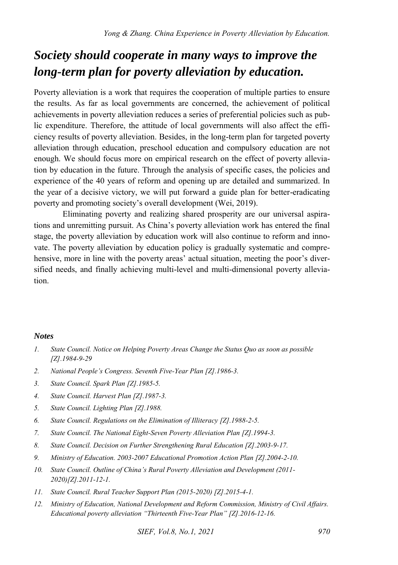#### *Society should cooperate in many ways to improve the long-term plan for poverty alleviation by education.*

Poverty alleviation is a work that requires the cooperation of multiple parties to ensure the results. As far as local governments are concerned, the achievement of political achievements in poverty alleviation reduces a series of preferential policies such as public expenditure. Therefore, the attitude of local governments will also affect the efficiency results of poverty alleviation. Besides, in the long-term plan for targeted poverty alleviation through education, preschool education and compulsory education are not enough. We should focus more on empirical research on the effect of poverty alleviation by education in the future. Through the analysis of specific cases, the policies and experience of the 40 years of reform and opening up are detailed and summarized. In the year of a decisive victory, we will put forward a guide plan for better-eradicating poverty and promoting society's overall development (Wei, 2019).

Eliminating poverty and realizing shared prosperity are our universal aspirations and unremitting pursuit. As China's poverty alleviation work has entered the final stage, the poverty alleviation by education work will also continue to reform and innovate. The poverty alleviation by education policy is gradually systematic and comprehensive, more in line with the poverty areas' actual situation, meeting the poor's diversified needs, and finally achieving multi-level and multi-dimensional poverty alleviation.

#### *Notes*

- <span id="page-11-0"></span>*1. State Council. Notice on Helping Poverty Areas Change the Status Quo as soon as possible [Z].1984-9-29*
- <span id="page-11-1"></span>*2. National People's Congress. Seventh Five-Year Plan [Z].1986-3.*
- <span id="page-11-2"></span>*3. State Council. Spark Plan [Z].1985-5.*
- <span id="page-11-3"></span>*4. State Council. Harvest Plan [Z].1987-3.*
- <span id="page-11-4"></span>*5. State Council. Lighting Plan [Z].1988.*
- <span id="page-11-5"></span>*6. State Council. Regulations on the Elimination of Illiteracy [Z].1988-2-5.*
- <span id="page-11-6"></span>*7. State Council. The National Eight-Seven Poverty Alleviation Plan [Z].1994-3.*
- <span id="page-11-7"></span>*8. State Council. Decision on Further Strengthening Rural Education [Z].2003-9-17.*
- <span id="page-11-8"></span>*9. Ministry of Education. 2003-2007 Educational Promotion Action Plan [Z].2004-2-10.*
- <span id="page-11-9"></span>*10. State Council. Outline of China's Rural Poverty Alleviation and Development (2011- 2020)[Z].2011-12-1.*
- <span id="page-11-10"></span>*11. State Council. Rural Teacher Support Plan (2015-2020) [Z].2015-4-1.*
- <span id="page-11-11"></span>*12. Ministry of Education, National Development and Reform Commission, Ministry of Civil Affairs. Educational poverty alleviation "Thirteenth Five-Year Plan" [Z].2016-12-16.*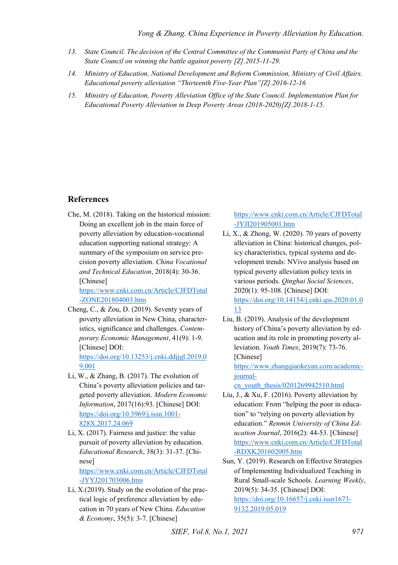- <span id="page-12-0"></span>*13. State Council. The decision of the Central Committee of the Communist Party of China and the State Council on winning the battle against poverty [Z].2015-11-29.*
- <span id="page-12-1"></span>*14. Ministry of Education, National Development and Reform Commission, Ministry of Civil Affairs. Educational poverty alleviation "Thirteenth Five-Year Plan"[Z].2016-12-16*
- <span id="page-12-2"></span>*15. Ministry of Education, Poverty Alleviation Office of the State Council. Implementation Plan for Educational Poverty Alleviation in Deep Poverty Areas (2018-2020)[Z].2018-1-15.*

#### **References**

Che, M. (2018). Taking on the historical mission: Doing an excellent job in the main force of poverty alleviation by education-vocational education supporting national strategy: A summary of the symposium on service precision poverty alleviation. *China Vocational and Technical Education*, 2018(4): 30-36. [Chinese]

[https://www.cnki.com.cn/Article/CJFDTotal](https://www.cnki.com.cn/Article/CJFDTotal-ZONE201804003.htm) [-ZONE201804003.htm](https://www.cnki.com.cn/Article/CJFDTotal-ZONE201804003.htm) 

Cheng, C., & Zou, D. (2019). Seventy years of poverty alleviation in New China, characteristics, significance and challenges. *Contemporary Economic Management*, 41(9): 1-9. [Chinese] DOI:

[https://doi.org/10.13253/j.cnki.ddjjgl.2019.0](https://doi.org/10.13253/j.cnki.ddjjgl.2019.09.001) [9.001](https://doi.org/10.13253/j.cnki.ddjjgl.2019.09.001) 

- Li, W., & Zhang, B. (2017). The evolution of China's poverty alleviation policies and targeted poverty alleviation. *Modern Economic Information*, 2017(16):93. [Chinese] DOI: [https://doi.org/10.3969/j.issn.1001-](https://doi.org/10.3969/j.issn.1001-828X.2017.24.069) [828X.2017.24.069](https://doi.org/10.3969/j.issn.1001-828X.2017.24.069)
- Li, X. (2017). Fairness and justice: the value pursuit of poverty alleviation by education. *Educational Research*, 38(3): 31-37. [Chinese] [https://www.cnki.com.cn/Article/CJFDTotal](https://www.cnki.com.cn/Article/CJFDTotal-JYYJ201703006.htm) [-JYYJ201703006.htm](https://www.cnki.com.cn/Article/CJFDTotal-JYYJ201703006.htm)
- Li, X.(2019). Study on the evolution of the practical logic of preference alleviation by education in 70 years of New China. *Education & Economy*, 35(5): 3-7. [Chinese]

[https://www.cnki.com.cn/Article/CJFDTotal](https://www.cnki.com.cn/Article/CJFDTotal-JYJI201905001.htm) [-JYJI201905001.htm](https://www.cnki.com.cn/Article/CJFDTotal-JYJI201905001.htm) 

- Li, X., & Zhong, W. (2020). 70 years of poverty alleviation in China: historical changes, policy characteristics, typical systems and development trends: NVivo analysis based on typical poverty alleviation policy texts in various periods. *Qinghai Social Sciences*, 2020(1): 95-108. [Chinese] DOI: [https://doi.org/10.14154/j.cnki.qss.2020.01.0](https://doi.org/10.14154/j.cnki.qss.2020.01.013) [13](https://doi.org/10.14154/j.cnki.qss.2020.01.013)
- Liu, B. (2019). Analysis of the development history of China's poverty alleviation by education and its role in promoting poverty alleviation. *Youth Times*, 2019(7): 73-76. [Chinese] [https://www.zhangqiaokeyan.com/academic](https://www.zhangqiaokeyan.com/academic-journal-cn_youth_thesis/0201269942510.html)[journal-](https://www.zhangqiaokeyan.com/academic-journal-cn_youth_thesis/0201269942510.html)

[cn\\_youth\\_thesis/0201269942510.html](https://www.zhangqiaokeyan.com/academic-journal-cn_youth_thesis/0201269942510.html) 

- Liu, J., & Xu, F. (2016). Poverty alleviation by education: From "helping the poor in education" to "relying on poverty alleviation by education." *Renmin University of China Education Journal*, 2016(2): 44-53. [Chinese] [https://www.cnki.com.cn/Article/CJFDTotal](https://www.cnki.com.cn/Article/CJFDTotal-RDXK201602005.htm) [-RDXK201602005.htm](https://www.cnki.com.cn/Article/CJFDTotal-RDXK201602005.htm)
- Sun, Y. (2019). Research on Effective Strategies of Implementing Individualized Teaching in Rural Small-scale Schools. *Learning Weekly*, 2019(5): 34-35. [Chinese] DOI: [https://doi.org/10.16657/j.cnki.issn1673-](https://doi.org/10.16657/j.cnki.issn1673-9132.2019.05.019) [9132.2019.05.019](https://doi.org/10.16657/j.cnki.issn1673-9132.2019.05.019)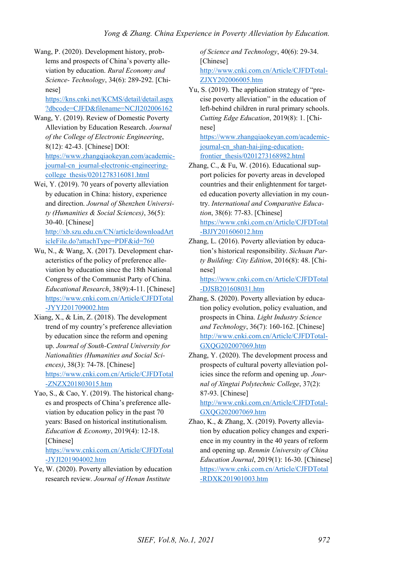Wang, P. (2020). Development history, problems and prospects of China's poverty alleviation by education. *Rural Economy and Science- Technology*, 34(6): 289-292. [Chinese]

[https://kns.cnki.net/KCMS/detail/detail.aspx](https://kns.cnki.net/KCMS/detail/detail.aspx?dbcode=CJFD&filename=NCJI202006162) [?dbcode=CJFD&filename=NCJI202006162](https://kns.cnki.net/KCMS/detail/detail.aspx?dbcode=CJFD&filename=NCJI202006162) 

- Wang, Y. (2019). Review of Domestic Poverty Alleviation by Education Research. *Journal of the College of Electronic Engineering*, 8(12): 42-43. [Chinese] DOI: [https://www.zhangqiaokeyan.com/academic](https://www.zhangqiaokeyan.com/academic-journal-cn_journal-electronic-engineering-college_thesis/0201278316081.html)[journal-cn\\_journal-electronic-engineering](https://www.zhangqiaokeyan.com/academic-journal-cn_journal-electronic-engineering-college_thesis/0201278316081.html)[college\\_thesis/0201278316081.html](https://www.zhangqiaokeyan.com/academic-journal-cn_journal-electronic-engineering-college_thesis/0201278316081.html)
- Wei, Y. (2019). 70 years of poverty alleviation by education in China: history, experience and direction. *Journal of Shenzhen University (Humanities & Social Sciences)*, 36(5): 30-40. [Chinese]

[http://xb.szu.edu.cn/CN/article/downloadArt](http://xb.szu.edu.cn/CN/article/downloadArticleFile.do?attachType=PDF&id=760) [icleFile.do?attachType=PDF&id=760](http://xb.szu.edu.cn/CN/article/downloadArticleFile.do?attachType=PDF&id=760) 

- Wu, N., & Wang, X. (2017). Development characteristics of the policy of preference alleviation by education since the 18th National Congress of the Communist Party of China. *Educational Research*, 38(9):4-11. [Chinese] [https://www.cnki.com.cn/Article/CJFDTotal](https://www.cnki.com.cn/Article/CJFDTotal-JYYJ201709002.htm) [-JYYJ201709002.htm](https://www.cnki.com.cn/Article/CJFDTotal-JYYJ201709002.htm)
- Xiang, X., & Lin, Z. (2018). The development trend of my country's preference alleviation by education since the reform and opening up. *Journal of South-Central University for Nationalities (Humanities and Social Sciences)*, 38(3): 74-78. [Chinese] [https://www.cnki.com.cn/Article/CJFDTotal](https://www.cnki.com.cn/Article/CJFDTotal-ZNZX201803015.htm) [-ZNZX201803015.htm](https://www.cnki.com.cn/Article/CJFDTotal-ZNZX201803015.htm)
- Yao, S., & Cao, Y. (2019). The historical changes and prospects of China's preference alleviation by education policy in the past 70 years: Based on historical institutionalism. *Education & Economy*, 2019(4): 12-18. [Chinese]

[https://www.cnki.com.cn/Article/CJFDTotal](https://www.cnki.com.cn/Article/CJFDTotal-JYJI201904002.htm) [-JYJI201904002.htm](https://www.cnki.com.cn/Article/CJFDTotal-JYJI201904002.htm) 

Ye, W. (2020). Poverty alleviation by education research review. *Journal of Henan Institute* 

*of Science and Technology*, 40(6): 29-34. [Chinese] [http://www.cnki.com.cn/Article/CJFDTotal-](http://www.cnki.com.cn/Article/CJFDTotal-ZJXY202006005.htm)[ZJXY202006005.htm](http://www.cnki.com.cn/Article/CJFDTotal-ZJXY202006005.htm) 

Yu, S. (2019). The application strategy of "precise poverty alleviation" in the education of left-behind children in rural primary schools. *Cutting Edge Education*, 2019(8): 1. [Chinese]

[https://www.zhangqiaokeyan.com/academic](https://www.zhangqiaokeyan.com/academic-journal-cn_shan-hai-jing-education-frontier_thesis/0201273168982.html)[journal-cn\\_shan-hai-jing-education](https://www.zhangqiaokeyan.com/academic-journal-cn_shan-hai-jing-education-frontier_thesis/0201273168982.html)[frontier\\_thesis/0201273168982.html](https://www.zhangqiaokeyan.com/academic-journal-cn_shan-hai-jing-education-frontier_thesis/0201273168982.html) 

Zhang, C., & Fu, W. (2016). Educational support policies for poverty areas in developed countries and their enlightenment for targeted education poverty alleviation in my country. *International and Comparative Education*, 38(6): 77-83. [Chinese] [https://www.cnki.com.cn/Article/CJFDTotal](https://www.cnki.com.cn/Article/CJFDTotal-BJJY201606012.htm)

[-BJJY201606012.htm](https://www.cnki.com.cn/Article/CJFDTotal-BJJY201606012.htm) 

Zhang, L. (2016). Poverty alleviation by education's historical responsibility. *Sichuan Party Building: City Edition*, 2016(8): 48. [Chinese]

[https://www.cnki.com.cn/Article/CJFDTotal](https://www.cnki.com.cn/Article/CJFDTotal-DJSB201608031.htm) [-DJSB201608031.htm](https://www.cnki.com.cn/Article/CJFDTotal-DJSB201608031.htm) 

- Zhang, S. (2020). Poverty alleviation by education policy evolution, policy evaluation, and prospects in China. *Light Industry Science and Technology*, 36(7): 160-162. [Chinese] [http://www.cnki.com.cn/Article/CJFDTotal-](http://www.cnki.com.cn/Article/CJFDTotal-GXQG202007069.htm)[GXQG202007069.htm](http://www.cnki.com.cn/Article/CJFDTotal-GXQG202007069.htm)
- Zhang, Y. (2020). The development process and prospects of cultural poverty alleviation policies since the reform and opening up. *Journal of Xingtai Polytechnic College*, 37(2): 87-93. [Chinese]

[http://www.cnki.com.cn/Article/CJFDTotal-](http://www.cnki.com.cn/Article/CJFDTotal-GXQG202007069.htm)[GXQG202007069.htm](http://www.cnki.com.cn/Article/CJFDTotal-GXQG202007069.htm) 

Zhao, K., & Zhang, X. (2019). Poverty alleviation by education policy changes and experience in my country in the 40 years of reform and opening up. *Renmin University of China Education Journal*, 2019(1): 16-30. [Chinese] [https://www.cnki.com.cn/Article/CJFDTotal](https://www.cnki.com.cn/Article/CJFDTotal-RDXK201901003.htm) [-RDXK201901003.htm](https://www.cnki.com.cn/Article/CJFDTotal-RDXK201901003.htm)